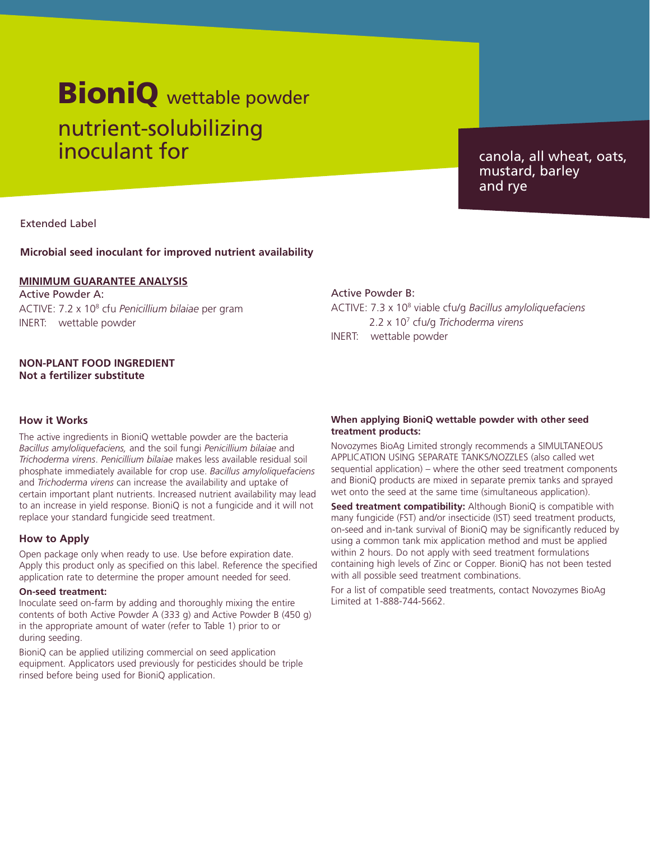# nutrient-solubilizing inoculant for **BioniQ** wettable powder

canola, all wheat, oats, mustard, barley and rye

Extended Label

#### **Microbial seed inoculant for improved nutrient availability**

#### **MINIMUM GUARANTEE ANALYSIS**

Active Powder A: ACTIVE: 7.2 x 108 cfu *Penicillium bilaiae* per gram INERT: wettable powder

### **NON-PLANT FOOD INGREDIENT Not a fertilizer substitute**

#### **How it Works**

The active ingredients in BioniQ wettable powder are the bacteria *Bacillus amyloliquefaciens,* and the soil fungi *Penicillium bilaiae* and *Trichoderma virens*. *Penicillium bilaiae* makes less available residual soil phosphate immediately available for crop use. *Bacillus amyloliquefaciens*  and *Trichoderma virens* can increase the availability and uptake of certain important plant nutrients. Increased nutrient availability may lead to an increase in yield response. BioniQ is not a fungicide and it will not replace your standard fungicide seed treatment.

#### **How to Apply**

Open package only when ready to use. Use before expiration date. Apply this product only as specified on this label. Reference the specified application rate to determine the proper amount needed for seed.

#### **On-seed treatment:**

Inoculate seed on-farm by adding and thoroughly mixing the entire contents of both Active Powder A (333 g) and Active Powder B (450 g) in the appropriate amount of water (refer to Table 1) prior to or during seeding.

BioniQ can be applied utilizing commercial on seed application equipment. Applicators used previously for pesticides should be triple rinsed before being used for BioniQ application.

#### Active Powder B:

ACTIVE: 7.3 x 108 viable cfu/g *Bacillus amyloliquefaciens* 2.2 x 107 cfu/g *Trichoderma virens* INERT: wettable powder

#### **When applying BioniQ wettable powder with other seed treatment products:**

Novozymes BioAg Limited strongly recommends a SIMULTANEOUS APPLICATION USING SEPARATE TANKS/NOZZLES (also called wet sequential application) – where the other seed treatment components and BioniQ products are mixed in separate premix tanks and sprayed wet onto the seed at the same time (simultaneous application).

**Seed treatment compatibility:** Although BioniQ is compatible with many fungicide (FST) and/or insecticide (IST) seed treatment products, on-seed and in-tank survival of BioniQ may be significantly reduced by using a common tank mix application method and must be applied within 2 hours. Do not apply with seed treatment formulations containing high levels of Zinc or Copper. BioniQ has not been tested with all possible seed treatment combinations.

For a list of compatible seed treatments, contact Novozymes BioAg Limited at 1-888-744-5662.